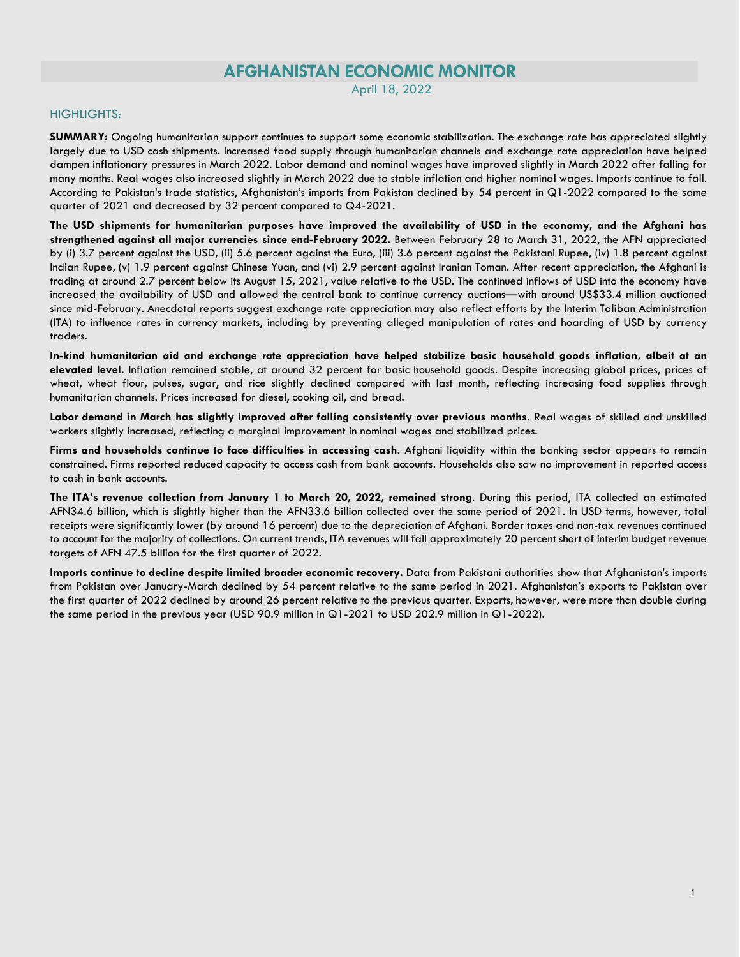# **AFGHANISTAN ECONOMIC MONITOR**

April 18, 2022

## HIGHLIGHTS:

**SUMMARY:** Ongoing humanitarian support continues to support some economic stabilization. The exchange rate has appreciated slightly largely due to USD cash shipments. Increased food supply through humanitarian channels and exchange rate appreciation have helped dampen inflationary pressures in March 2022. Labor demand and nominal wages have improved slightly in March 2022 after falling for many months. Real wages also increased slightly in March 2022 due to stable inflation and higher nominal wages. Imports continue to fall. According to Pakistan's trade statistics, Afghanistan's imports from Pakistan declined by 54 percent in Q1-2022 compared to the same quarter of 2021 and decreased by 32 percent compared to Q4-2021.

**The USD shipments for humanitarian purposes have improved the availability of USD in the economy, and the Afghani has strengthened against all major currencies since end-February 2022.** Between February 28 to March 31, 2022, the AFN appreciated by (i) 3.7 percent against the USD, (ii) 5.6 percent against the Euro, (iii) 3.6 percent against the Pakistani Rupee, (iv) 1.8 percent against Indian Rupee, (v) 1.9 percent against Chinese Yuan, and (vi) 2.9 percent against Iranian Toman. After recent appreciation, the Afghani is trading at around 2.7 percent below its August 15, 2021, value relative to the USD. The continued inflows of USD into the economy have increased the availability of USD and allowed the central bank to continue currency auctions—with around US\$33.4 million auctioned since mid-February. Anecdotal reports suggest exchange rate appreciation may also reflect efforts by the Interim Taliban Administration (ITA) to influence rates in currency markets, including by preventing alleged manipulation of rates and hoarding of USD by currency traders.

**In-kind humanitarian aid and exchange rate appreciation have helped stabilize basic household goods inflation, albeit at an elevated level.** Inflation remained stable, at around 32 percent for basic household goods. Despite increasing global prices, prices of wheat, wheat flour, pulses, sugar, and rice slightly declined compared with last month, reflecting increasing food supplies through humanitarian channels. Prices increased for diesel, cooking oil, and bread.

**Labor demand in March has slightly improved after falling consistently over previous months.** Real wages of skilled and unskilled workers slightly increased, reflecting a marginal improvement in nominal wages and stabilized prices.

**Firms and households continue to face difficulties in accessing cash.** Afghani liquidity within the banking sector appears to remain constrained. Firms reported reduced capacity to access cash from bank accounts. Households also saw no improvement in reported access to cash in bank accounts.

**The ITA's revenue collection from January 1 to March 20, 2022, remained strong**. During this period, ITA collected an estimated AFN34.6 billion, which is slightly higher than the AFN33.6 billion collected over the same period of 2021. In USD terms, however, total receipts were significantly lower (by around 16 percent) due to the depreciation of Afghani. Border taxes and non-tax revenues continued to account for the majority of collections. On current trends, ITA revenues will fall approximately 20 percent short of interim budget revenue targets of AFN 47.5 billion for the first quarter of 2022.

**Imports continue to decline despite limited broader economic recovery.** Data from Pakistani authorities show that Afghanistan's imports from Pakistan over January-March declined by 54 percent relative to the same period in 2021. Afghanistan's exports to Pakistan over the first quarter of 2022 declined by around 26 percent relative to the previous quarter. Exports, however, were more than double during the same period in the previous year (USD 90.9 million in Q1-2021 to USD 202.9 million in Q1-2022).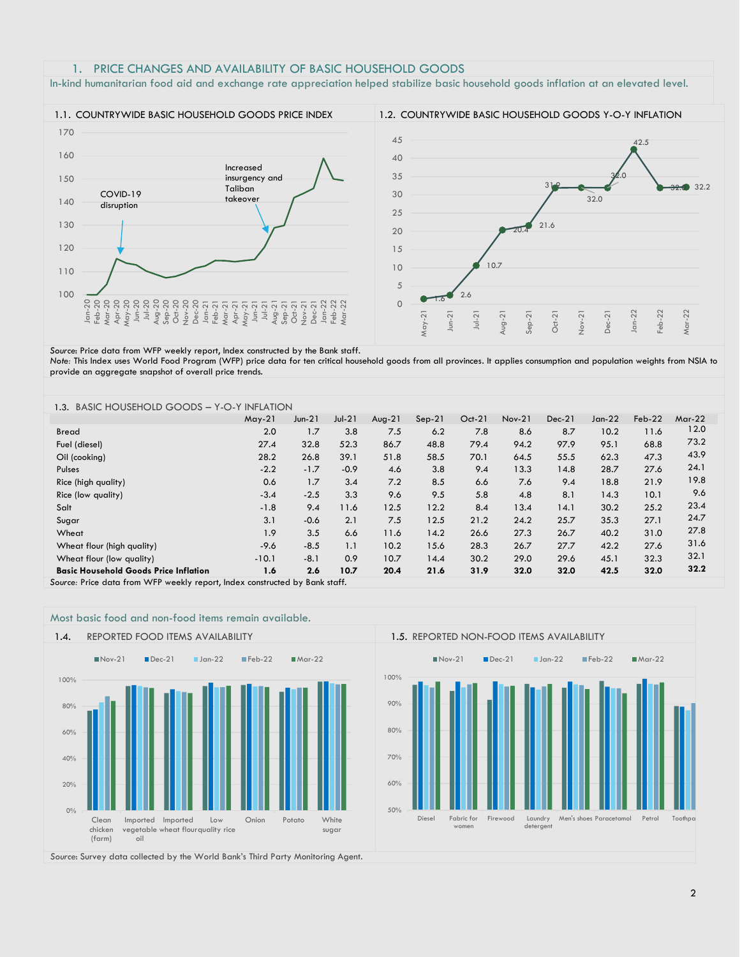#### 1. PRICE CHANGES AND AVAILABILITY OF BASIC HOUSEHOLD GOODS

In-kind humanitarian food aid and exchange rate appreciation helped stabilize basic household goods inflation at an elevated level.



*Source*: Price data from WFP weekly report, Index constructed by the Bank staff.

*Note:* This Index uses World Food Program (WFP) price data for ten critical household goods from all provinces. It applies consumption and population weights from NSIA to provide an aggregate snapshot of overall price trends.

| <b>BASIC HOUSEHOLD GOODS - Y-O-Y INFLATION</b><br>1.3.                    |          |          |          |           |          |          |               |          |          |          |          |
|---------------------------------------------------------------------------|----------|----------|----------|-----------|----------|----------|---------------|----------|----------|----------|----------|
|                                                                           | $May-21$ | $Jun-21$ | $Jul-21$ | Aug- $21$ | $Sep-21$ | $Oct-21$ | <b>Nov-21</b> | $Dec-21$ | $Jan-22$ | $Feb-22$ | $Mar-22$ |
| <b>Bread</b>                                                              | 2.0      | 1.7      | 3.8      | 7.5       | 6.2      | 7.8      | 8.6           | 8.7      | 10.2     | 11.6     | 12.0     |
| Fuel (diesel)                                                             | 27.4     | 32.8     | 52.3     | 86.7      | 48.8     | 79.4     | 94.2          | 97.9     | 95.1     | 68.8     | 73.2     |
| Oil (cooking)                                                             | 28.2     | 26.8     | 39.1     | 51.8      | 58.5     | 70.1     | 64.5          | 55.5     | 62.3     | 47.3     | 43.9     |
| Pulses                                                                    | $-2.2$   | $-1.7$   | $-0.9$   | 4.6       | 3.8      | 9.4      | 13.3          | 14.8     | 28.7     | 27.6     | 24.1     |
| Rice (high quality)                                                       | 0.6      | 1.7      | 3.4      | 7.2       | 8.5      | 6.6      | 7.6           | 9.4      | 18.8     | 21.9     | 19.8     |
| Rice (low quality)                                                        | $-3.4$   | $-2.5$   | 3.3      | 9.6       | 9.5      | 5.8      | 4.8           | 8.1      | 14.3     | 10.1     | 9.6      |
| Salt                                                                      | $-1.8$   | 9.4      | 11.6     | 12.5      | 12.2     | 8.4      | 13.4          | 14.1     | 30.2     | 25.2     | 23.4     |
| Sugar                                                                     | 3.1      | $-0.6$   | 2.1      | 7.5       | 12.5     | 21.2     | 24.2          | 25.7     | 35.3     | 27.1     | 24.7     |
| Wheat                                                                     | 1.9      | 3.5      | 6.6      | 11.6      | 14.2     | 26.6     | 27.3          | 26.7     | 40.2     | 31.0     | 27.8     |
| Wheat flour (high quality)                                                | $-9.6$   | $-8.5$   | 1.1      | 10.2      | 15.6     | 28.3     | 26.7          | 27.7     | 42.2     | 27.6     | 31.6     |
| Wheat flour (low quality)                                                 | $-10.1$  | $-8.1$   | 0.9      | 10.7      | 14.4     | 30.2     | 29.0          | 29.6     | 45.1     | 32.3     | 32.1     |
| <b>Basic Household Goods Price Inflation</b>                              | 1.6      | 2.6      | 10.7     | 20.4      | 21.6     | 31.9     | 32.0          | 32.0     | 42.5     | 32.0     | 32.2     |
| Source, Price data from WFP weekly report Index constructed by Bank staff |          |          |          |           |          |          |               |          |          |          |          |

*Source:* Price data from WFP weekly report, Index constructed by Bank staff.

Most basic food and non-food items remain available.





*Source*: Survey data collected by the World Bank's Third Party Monitoring Agent.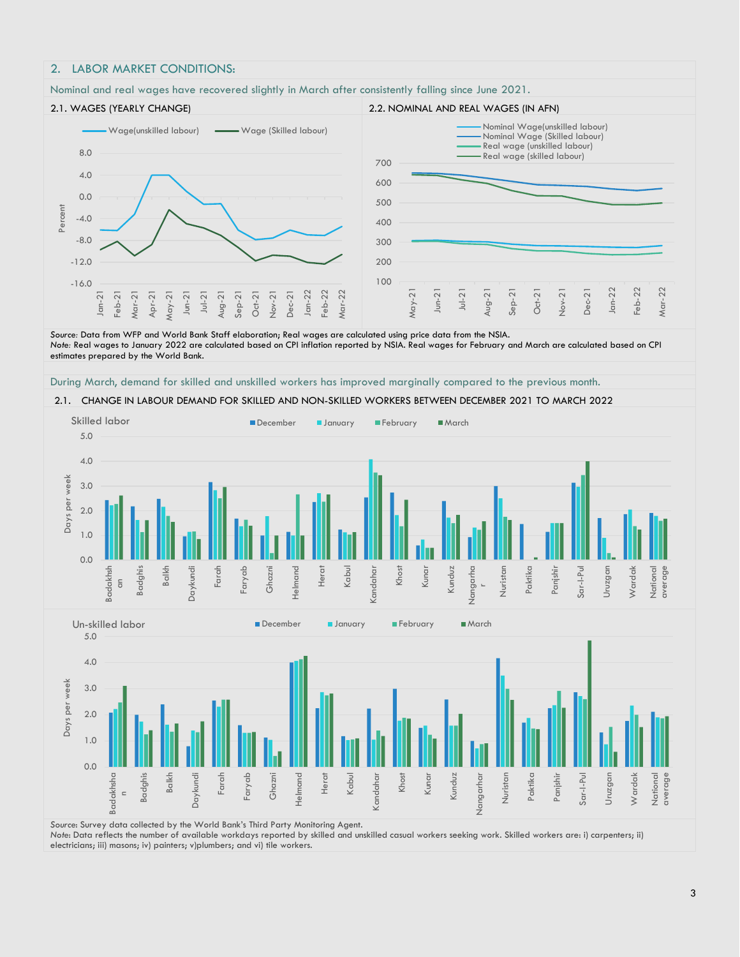## 2. LABOR MARKET CONDITIONS:

#### Nominal and real wages have recovered slightly in March after consistently falling since June 2021.



#### 2.1. WAGES (YEARLY CHANGE) 2.2. NOMINAL AND REAL WAGES (IN AFN)



*Source:* Data from WFP and World Bank Staff elaboration; Real wages are calculated using price data from the NSIA. *Note:* Real wages to January 2022 are calculated based on CPI inflation reported by NSIA. Real wages for February and March are calculated based on CPI estimates prepared by the World Bank.

#### During March, demand for skilled and unskilled workers has improved marginally compared to the previous month.

#### 2.1. CHANGE IN LABOUR DEMAND FOR SKILLED AND NON-SKILLED WORKERS BETWEEN DECEMBER 2021 TO MARCH 2022





*Source*: Survey data collected by the World Bank's Third Party Monitoring Agent.

*Note*: Data reflects the number of available workdays reported by skilled and unskilled casual workers seeking work. Skilled workers are: i) carpenters; ii) electricians; iii) masons; iv) painters; v)plumbers; and vi) tile workers.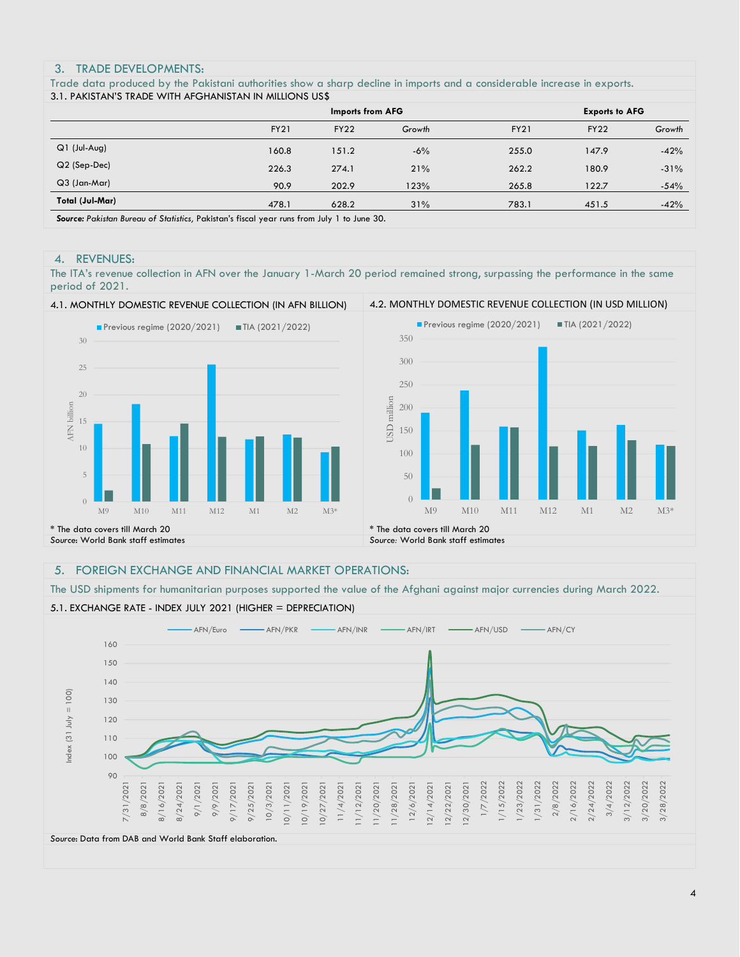## 3. TRADE DEVELOPMENTS:

Trade data produced by the Pakistani authorities show a sharp decline in imports and a considerable increase in exports. 3.1. PAKISTAN'S TRADE WITH AFGHANISTAN IN MILLIONS US\$

|                             |             | <b>Imports from AFG</b> |        | <b>Exports to AFG</b> |             |        |
|-----------------------------|-------------|-------------------------|--------|-----------------------|-------------|--------|
|                             | <b>FY21</b> | <b>FY22</b>             | Growth | <b>FY21</b>           | <b>FY22</b> | Growth |
| $Q1$ (Jul-Aug)              | 160.8       | 151.2                   | $-6%$  | 255.0                 | 147.9       | $-42%$ |
| Q2 (Sep-Dec)                | 226.3       | 274.1                   | 21%    | 262.2                 | 180.9       | $-31%$ |
| Q3 (Jan-Mar)                | 90.9        | 202.9                   | 123%   | 265.8                 | 122.7       | $-54%$ |
| Total (Jul-Mar)             | 478.1       | 628.2                   | 31%    | 783.1                 | 451.5       | $-42%$ |
| $\sim$ $\sim$ $\sim$ $\sim$ |             | .                       |        |                       |             |        |

*Source: Pakistan Bureau of Statistics,* Pakistan's fiscal year runs from July 1 to June 30.

#### 4. REVENUES:

The ITA's revenue collection in AFN over the January 1-March 20 period remained strong, surpassing the performance in the same period of 2021.





The USD shipments for humanitarian purposes supported the value of the Afghani against major currencies during March 2022.

#### 5. FOREIGN EXCHANGE AND FINANCIAL MARKET OPERATIONS: 5.1. EXCHANGE RATE - INDEX JULY 2021 (HIGHER = DEPRECIATION) AFN/Euro <del>- A</del>FN/PKR - AFN/INR - AFN/IRT - AFN/USD - AFN/CY 160 150 140  $July = 100$ Index  $(31$  July  $= 100$ ) 130 120  $\overline{31}$ . 110 Index 100 90 1/15/2022 8/8/2021 11/28/2021 2/8/2022 2/24/2022 7/31/2021 8/16/2021 8/24/2021 9/1/2021 9/9/2021 9/17/2021 10/3/2021 10/11/2021 10/19/2021 10/27/2021 11/4/2021 11/20/2021 12/6/2021 12/30/2021 1/7/2022 1/23/2022 1/31/2022 2/16/2022 3/4/2022 3/12/2022 9/25/2021 11/12/2021 12/14/2021 12/22/2021 *Source*: Data from DAB and World Bank Staff elaboration.

3/20/2022 3/28/2022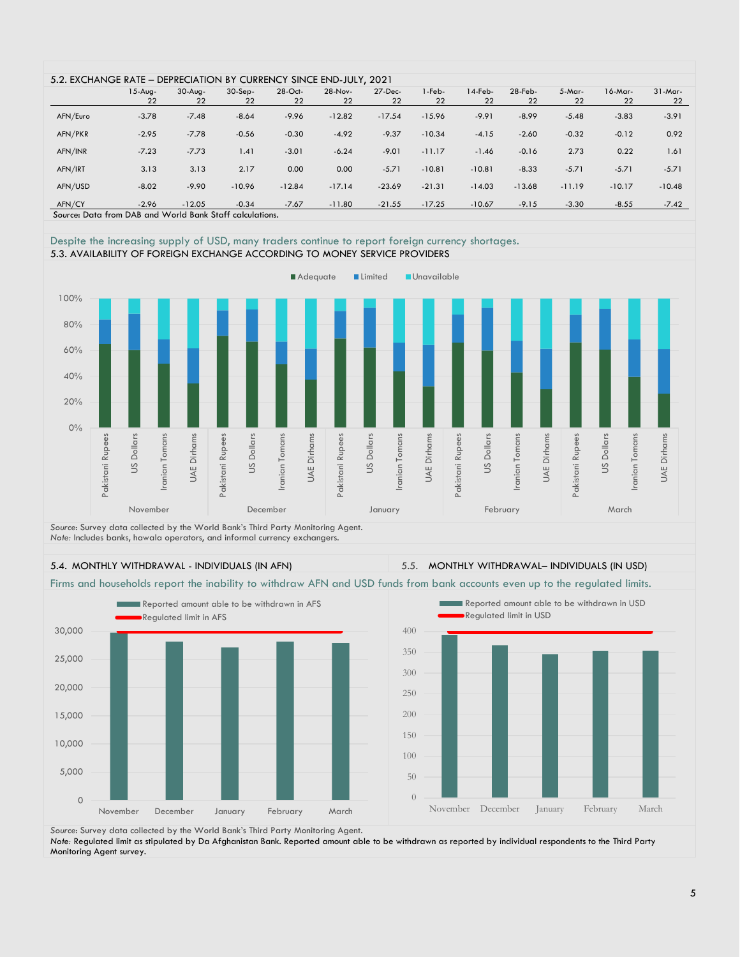| 5.2. EXCHANGE RATE - DEPRECIATION BY CURRENCY SINCE END-JULY, 2021 |                                                                    |                 |                  |                  |               |               |              |               |                  |              |                  |                 |
|--------------------------------------------------------------------|--------------------------------------------------------------------|-----------------|------------------|------------------|---------------|---------------|--------------|---------------|------------------|--------------|------------------|-----------------|
|                                                                    | $15-Ava-$<br>22                                                    | $30-Ava-$<br>22 | $30-$ Sep-<br>22 | $28$ -Oct-<br>22 | 28-Nov-<br>22 | 27-Dec-<br>22 | 1-Feb-<br>22 | 14-Feb-<br>22 | $28$ -Feb-<br>22 | 5-Mar-<br>22 | $16$ -Mar-<br>22 | $31-Mar-$<br>22 |
| AFN/Euro                                                           | $-3.78$                                                            | $-7.48$         | $-8.64$          | $-9.96$          | $-12.82$      | $-17.54$      | $-15.96$     | $-9.91$       | $-8.99$          | $-5.48$      | $-3.83$          | $-3.91$         |
| AFN/PKR                                                            | $-2.95$                                                            | $-7.78$         | $-0.56$          | $-0.30$          | $-4.92$       | $-9.37$       | $-10.34$     | $-4.15$       | $-2.60$          | $-0.32$      | $-0.12$          | 0.92            |
| AFN/INR                                                            | $-7.23$                                                            | $-7.73$         | 1.41             | $-3.01$          | $-6.24$       | $-9.01$       | $-11.17$     | $-1.46$       | $-0.16$          | 2.73         | 0.22             | 1.61            |
| AFN/IRT                                                            | 3.13                                                               | 3.13            | 2.17             | 0.00             | 0.00          | $-5.71$       | $-10.81$     | $-10.81$      | $-8.33$          | $-5.71$      | $-5.71$          | $-5.71$         |
| AFN/USD                                                            | $-8.02$                                                            | $-9.90$         | $-10.96$         | $-12.84$         | $-17.14$      | $-23.69$      | $-21.31$     | $-14.03$      | $-13.68$         | $-11.19$     | $-10.17$         | $-10.48$        |
| AFN/CY                                                             | $-2.96$<br>Cause, Data from DAR and World Road, Ctaff calculations | $-12.05$        | $-0.34$          | $-7.67$          | $-11.80$      | $-21.55$      | $-17.25$     | $-10.67$      | $-9.15$          | $-3.30$      | $-8.55$          | $-7.42$         |

*Source*: Data from DAB and World Bank Staff calculations.

Despite the increasing supply of USD, many traders continue to report foreign currency shortages. 5.3. AVAILABILITY OF FOREIGN EXCHANGE ACCORDING TO MONEY SERVICE PROVIDERS



*Source*: Survey data collected by the World Bank's Third Party Monitoring Agent. *Note:* Includes banks, hawala operators, and informal currency exchangers.

## 5.4. MONTHLY WITHDRAWAL - INDIVIDUALS (IN AFN) 5.5. MONTHLY WITHDRAWAL– INDIVIDUALS (IN USD)

Firms and households report the inability to withdraw AFN and USD funds from bank accounts even up to the regulated limits.



*Source*: Survey data collected by the World Bank's Third Party Monitoring Agent.

*Note:* Regulated limit as stipulated by Da Afghanistan Bank. Reported amount able to be withdrawn as reported by individual respondents to the Third Party Monitoring Agent survey.